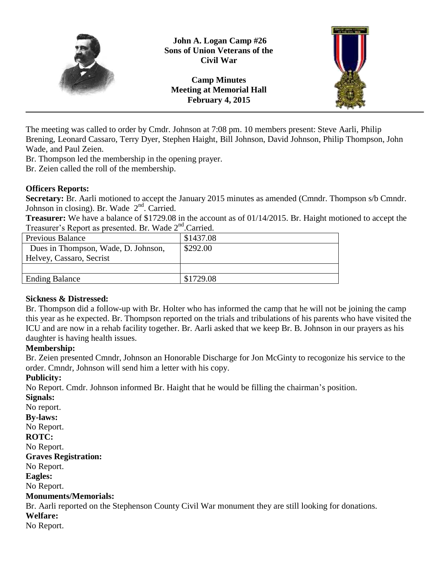

**John A. Logan Camp #26 Sons of Union Veterans of the Civil War**

**Camp Minutes Meeting at Memorial Hall February 4, 2015**



The meeting was called to order by Cmdr. Johnson at 7:08 pm. 10 members present: Steve Aarli, Philip Brening, Leonard Cassaro, Terry Dyer, Stephen Haight, Bill Johnson, David Johnson, Philip Thompson, John Wade, and Paul Zeien.

Br. Thompson led the membership in the opening prayer.

Br. Zeien called the roll of the membership.

### **Officers Reports:**

**Secretary:** Br. Aarli motioned to accept the January 2015 minutes as amended (Cmndr. Thompson s/b Cmndr. Johnson in closing). Br. Wade 2<sup>nd</sup>. Carried.

**Treasurer:** We have a balance of \$1729.08 in the account as of 01/14/2015. Br. Haight motioned to accept the Treasurer's Report as presented. Br. Wade 2<sup>nd</sup>.Carried.

| $\frac{1}{2}$                       |           |
|-------------------------------------|-----------|
| Previous Balance                    | \$1437.08 |
| Dues in Thompson, Wade, D. Johnson, | \$292.00  |
| Helvey, Cassaro, Secrist            |           |
|                                     |           |
| <b>Ending Balance</b>               | \$1729.08 |

# **Sickness & Distressed:**

Br. Thompson did a follow-up with Br. Holter who has informed the camp that he will not be joining the camp this year as he expected. Br. Thompson reported on the trials and tribulations of his parents who have visited the ICU and are now in a rehab facility together. Br. Aarli asked that we keep Br. B. Johnson in our prayers as his daughter is having health issues.

# **Membership:**

Br. Zeien presented Cmndr, Johnson an Honorable Discharge for Jon McGinty to recogonize his service to the order. Cmndr, Johnson will send him a letter with his copy.

# **Publicity:**

No Report. Cmdr. Johnson informed Br. Haight that he would be filling the chairman's position.

**Signals:**

No report.

**By-laws:**

No Report.

# **ROTC:**

No Report.

**Graves Registration:**

No Report.

**Eagles:**

No Report.

### **Monuments/Memorials:**

Br. Aarli reported on the Stephenson County Civil War monument they are still looking for donations.

**Welfare:** No Report.